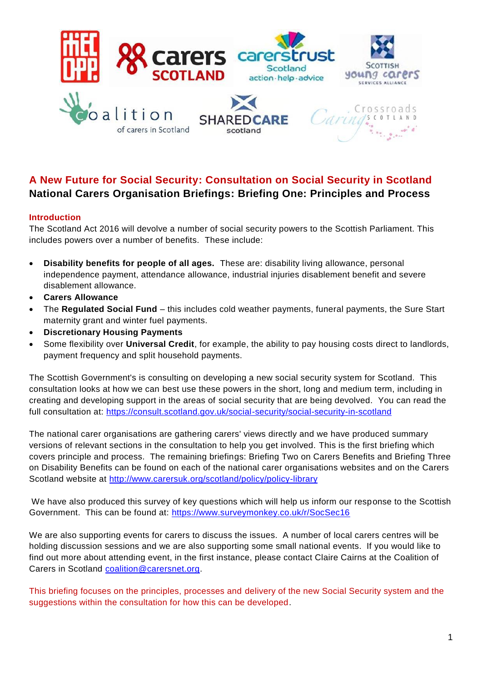

# **A New Future for Social Security: Consultation on Social Security in Scotland National Carers Organisation Briefings: Briefing One: Principles and Process**

# **Introduction**

The Scotland Act 2016 will devolve a number of social security powers to the Scottish Parliament. This includes powers over a number of benefits. These include:

- **Disability benefits for people of all ages.** These are: disability living allowance, personal independence payment, attendance allowance, industrial injuries disablement benefit and severe disablement allowance.
- **Carers Allowance**
- The **Regulated Social Fund** this includes cold weather payments, funeral payments, the Sure Start maternity grant and winter fuel payments.
- **Discretionary Housing Payments**
- Some flexibility over **Universal Credit**, for example, the ability to pay housing costs direct to landlords, payment frequency and split household payments.

The Scottish Government's is consulting on developing a new social security system for Scotland. This consultation looks at how we can best use these powers in the short, long and medium term, including in creating and developing support in the areas of social security that are being devolved. You can read the full consultation at:<https://consult.scotland.gov.uk/social-security/social-security-in-scotland>

The national carer organisations are gathering carers' views directly and we have produced summary versions of relevant sections in the consultation to help you get involved. This is the first briefing which covers principle and process. The remaining briefings: Briefing Two on Carers Benefits and Briefing Three on Disability Benefits can be found on each of the national carer organisations websites and on the Carers Scotland website at<http://www.carersuk.org/scotland/policy/policy-library>

We have also produced this survey of key questions which will help us inform our response to the Scottish Government. This can be found at:<https://www.surveymonkey.co.uk/r/SocSec16>

We are also supporting events for carers to discuss the issues. A number of local carers centres will be holding discussion sessions and we are also supporting some small national events. If you would like to find out more about attending event, in the first instance, please contact Claire Cairns at the Coalition of Carers in Scotland [coalition@carersnet.org.](mailto:coalition@carersnet.org)

This briefing focuses on the principles, processes and delivery of the new Social Security system and the suggestions within the consultation for how this can be developed.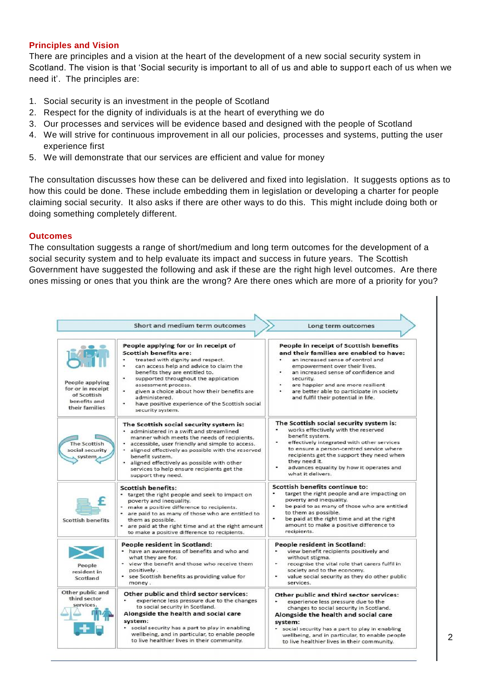#### **Principles and Vision**

There are principles and a vision at the heart of the development of a new social security system in Scotland. The vision is that 'Social security is important to all of us and able to support each of us when we need it'. The principles are:

- 1. Social security is an investment in the people of Scotland
- 2. Respect for the dignity of individuals is at the heart of everything we do
- 3. Our processes and services will be evidence based and designed with the people of Scotland
- 4. We will strive for continuous improvement in all our policies, processes and systems, putting the user experience first
- 5. We will demonstrate that our services are efficient and value for money

The consultation discusses how these can be delivered and fixed into legislation. It suggests options as to how this could be done. These include embedding them in legislation or developing a charter for people claiming social security. It also asks if there are other ways to do this. This might include doing both or doing something completely different.

#### **Outcomes**

The consultation suggests a range of short/medium and long term outcomes for the development of a social security system and to help evaluate its impact and success in future years. The Scottish Government have suggested the following and ask if these are the right high level outcomes. Are there ones missing or ones that you think are the wrong? Are there ones which are more of a priority for you?

|                                                                                       | Short and medium term outcomes                                                                                                                                                                                                                                                                                                                                                                               | Long term outcomes                                                                                                                                                                                                                                                                                                                          |
|---------------------------------------------------------------------------------------|--------------------------------------------------------------------------------------------------------------------------------------------------------------------------------------------------------------------------------------------------------------------------------------------------------------------------------------------------------------------------------------------------------------|---------------------------------------------------------------------------------------------------------------------------------------------------------------------------------------------------------------------------------------------------------------------------------------------------------------------------------------------|
|                                                                                       |                                                                                                                                                                                                                                                                                                                                                                                                              |                                                                                                                                                                                                                                                                                                                                             |
| People applying<br>for or in receipt<br>of Scottish<br>benefits and<br>their families | People applying for or in receipt of<br><b>Scottish benefits are:</b><br>treated with dignity and respect.<br>۰<br>can access help and advice to claim the<br>benefits they are entitled to.<br>٠<br>supported throughout the application<br>assessment process.<br>given a choice about how their benefits are<br>administered.<br>have positive experience of the Scottish social<br>۰<br>security system. | People in receipt of Scottish benefits<br>and their families are enabled to have:<br>an increased sense of control and<br>empowerment over their lives.<br>an increased sense of confidence and<br>security.<br>are happier and are more resilient<br>٠<br>are better able to participate in society<br>and fulfil their potential in life. |
| <b>The Scottish</b><br>social security<br>system,                                     | The Scottish social security system is:<br>· administered in a swift and streamlined<br>manner which meets the needs of recipients.<br>accessible, user friendly and simple to access.<br>• aligned effectively as possible with the reserved<br>benefit system.<br>· aligned effectively as possible with other<br>services to help ensure recipients get the<br>support they need.                         | The Scottish social security system is:<br>works effectively with the reserved<br>benefit system.<br>effectively integrated with other services<br>to ensure a person-centred service where<br>recipients get the support they need when<br>they need it.<br>advances equality by how it operates and<br>what it delivers.                  |
| <b>Scottish benefits</b>                                                              | <b>Scottish benefits:</b><br>• target the right people and seek to impact on<br>poverty and inequality.<br>make a positive difference to recipients.<br>are paid to as many of those who are entitled to<br>them as possible.<br>• are paid at the right time and at the right amount<br>to make a positive difference to recipients.                                                                        | <b>Scottish benefits continue to:</b><br>target the right people and are impacting on<br>poverty and inequality.<br>۰<br>be paid to as many of those who are entitled<br>to them as possible.<br>۰<br>be paid at the right time and at the right<br>amount to make a positive difference to<br>recipients.                                  |
| People<br>resident in<br>Scotland                                                     | People resident in Scotland:<br>• have an awareness of benefits and who and<br>what they are for.<br>• view the benefit and those who receive them<br>positively.<br>• see Scottish benefits as providing value for<br>money.                                                                                                                                                                                | People resident in Scotland:<br>view benefit recipients positively and<br>without stigma.<br>recognise the vital role that carers fulfil in<br>society and to the economy.<br>value social security as they do other public<br>services.                                                                                                    |
| Other public and<br>third sector<br>services.                                         | Other public and third sector services:<br>experience less pressure due to the changes<br>to social security in Scotland.<br>Alongside the health and social care<br>system:<br>• social security has a part to play in enabling<br>wellbeing, and in particular, to enable people<br>to live healthier lives in their community.                                                                            | Other public and third sector services:<br>experience less pressure due to the<br>changes to social security in Scotland.<br>Alongside the health and social care<br>system:<br>• social security has a part to play in enabling<br>wellbeing, and in particular, to enable people<br>to live healthier lives in their community.           |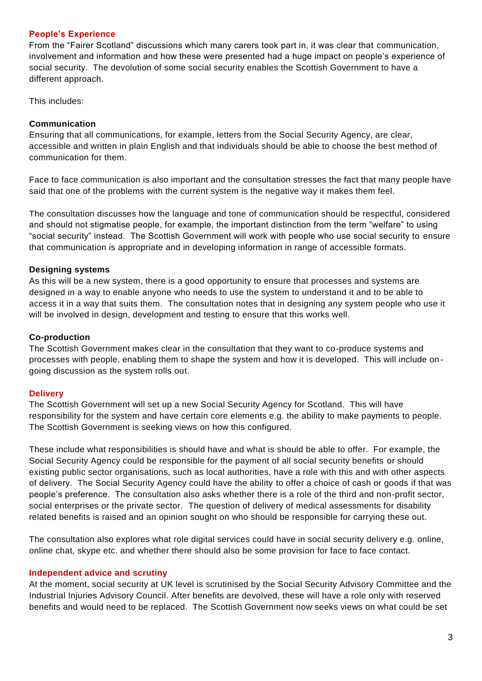#### **People's Experience**

From the "Fairer Scotland" discussions which many carers took part in, it was clear that communication, involvement and information and how these were presented had a huge impact on people's experience of social security. The devolution of some social security enables the Scottish Government to have a different approach.

This includes:

#### **Communication**

Ensuring that all communications, for example, letters from the Social Security Agency, are clear, accessible and written in plain English and that individuals should be able to choose the best method of communication for them.

Face to face communication is also important and the consultation stresses the fact that many people have said that one of the problems with the current system is the negative way it makes them feel.

The consultation discusses how the language and tone of communication should be respectful, considered and should not stigmatise people, for example, the important distinction from the term "welfare" to using "social security" instead. The Scottish Government will work with people who use social security to ensure that communication is appropriate and in developing information in range of accessible formats.

#### **Designing systems**

As this will be a new system, there is a good opportunity to ensure that processes and systems are designed in a way to enable anyone who needs to use the system to understand it and to be able to access it in a way that suits them. The consultation notes that in designing any system people who use it will be involved in design, development and testing to ensure that this works well.

#### **Co-production**

The Scottish Government makes clear in the consultation that they want to co-produce systems and processes with people, enabling them to shape the system and how it is developed. This will include ongoing discussion as the system rolls out.

#### **Delivery**

The Scottish Government will set up a new Social Security Agency for Scotland. This will have responsibility for the system and have certain core elements e.g. the ability to make payments to people. The Scottish Government is seeking views on how this configured.

These include what responsibilities is should have and what is should be able to offer. For example, the Social Security Agency could be responsible for the payment of all social security benefits or should existing public sector organisations, such as local authorities, have a role with this and with other aspects of delivery. The Social Security Agency could have the ability to offer a choice of cash or goods if that was people's preference. The consultation also asks whether there is a role of the third and non-profit sector, social enterprises or the private sector. The question of delivery of medical assessments for disability related benefits is raised and an opinion sought on who should be responsible for carrying these out.

The consultation also explores what role digital services could have in social security delivery e.g. online, online chat, skype etc. and whether there should also be some provision for face to face contact.

#### **Independent advice and scrutiny**

At the moment, social security at UK level is scrutinised by the Social Security Advisory Committee and the Industrial Injuries Advisory Council. After benefits are devolved, these will have a role only with reserved benefits and would need to be replaced. The Scottish Government now seeks views on what could be set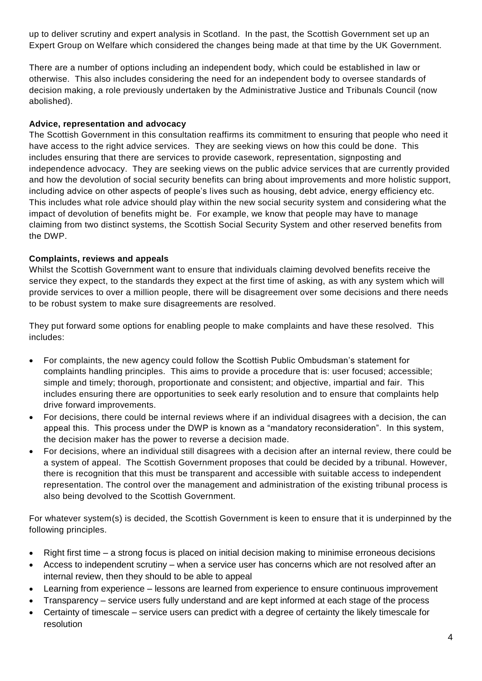up to deliver scrutiny and expert analysis in Scotland. In the past, the Scottish Government set up an Expert Group on Welfare which considered the changes being made at that time by the UK Government.

There are a number of options including an independent body, which could be established in law or otherwise. This also includes considering the need for an independent body to oversee standards of decision making, a role previously undertaken by the Administrative Justice and Tribunals Council (now abolished).

# **Advice, representation and advocacy**

The Scottish Government in this consultation reaffirms its commitment to ensuring that people who need it have access to the right advice services. They are seeking views on how this could be done. This includes ensuring that there are services to provide casework, representation, signposting and independence advocacy. They are seeking views on the public advice services that are currently provided and how the devolution of social security benefits can bring about improvements and more holistic support, including advice on other aspects of people's lives such as housing, debt advice, energy efficiency etc. This includes what role advice should play within the new social security system and considering what the impact of devolution of benefits might be. For example, we know that people may have to manage claiming from two distinct systems, the Scottish Social Security System and other reserved benefits from the DWP.

# **Complaints, reviews and appeals**

Whilst the Scottish Government want to ensure that individuals claiming devolved benefits receive the service they expect, to the standards they expect at the first time of asking, as with any system which will provide services to over a million people, there will be disagreement over some decisions and there needs to be robust system to make sure disagreements are resolved.

They put forward some options for enabling people to make complaints and have these resolved. This includes:

- For complaints, the new agency could follow the Scottish Public Ombudsman's statement for complaints handling principles. This aims to provide a procedure that is: user focused; accessible; simple and timely; thorough, proportionate and consistent; and objective, impartial and fair. This includes ensuring there are opportunities to seek early resolution and to ensure that complaints help drive forward improvements.
- For decisions, there could be internal reviews where if an individual disagrees with a decision, the can appeal this. This process under the DWP is known as a "mandatory reconsideration". In this system, the decision maker has the power to reverse a decision made.
- For decisions, where an individual still disagrees with a decision after an internal review, there could be a system of appeal. The Scottish Government proposes that could be decided by a tribunal. However, there is recognition that this must be transparent and accessible with suitable access to independent representation. The control over the management and administration of the existing tribunal process is also being devolved to the Scottish Government.

For whatever system(s) is decided, the Scottish Government is keen to ensure that it is underpinned by the following principles.

- Right first time a strong focus is placed on initial decision making to minimise erroneous decisions
- Access to independent scrutiny when a service user has concerns which are not resolved after an internal review, then they should to be able to appeal
- Learning from experience lessons are learned from experience to ensure continuous improvement
- Transparency service users fully understand and are kept informed at each stage of the process
- Certainty of timescale service users can predict with a degree of certainty the likely timescale for resolution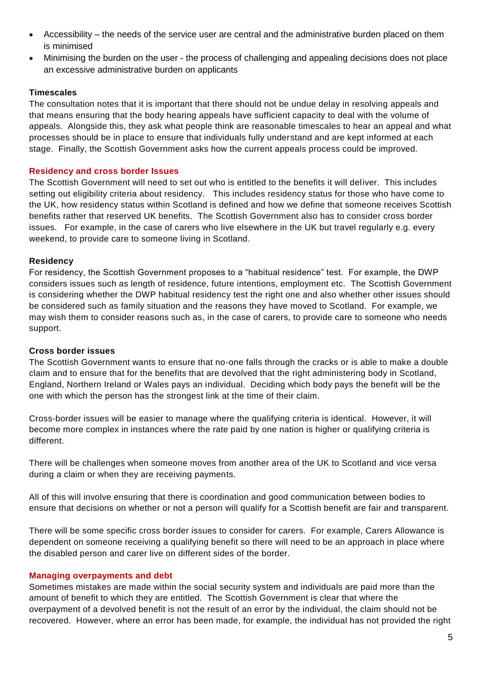- Accessibility the needs of the service user are central and the administrative burden placed on them is minimised
- Minimising the burden on the user the process of challenging and appealing decisions does not place an excessive administrative burden on applicants

# **Timescales**

The consultation notes that it is important that there should not be undue delay in resolving appeals and that means ensuring that the body hearing appeals have sufficient capacity to deal with the volume of appeals. Alongside this, they ask what people think are reasonable timescales to hear an appeal and what processes should be in place to ensure that individuals fully understand and are kept informed at each stage. Finally, the Scottish Government asks how the current appeals process could be improved.

#### **Residency and cross border Issues**

The Scottish Government will need to set out who is entitled to the benefits it will deliver. This includes setting out eligibility criteria about residency. This includes residency status for those who have come to the UK, how residency status within Scotland is defined and how we define that someone receives Scottish benefits rather that reserved UK benefits. The Scottish Government also has to consider cross border issues. For example, in the case of carers who live elsewhere in the UK but travel regularly e.g. every weekend, to provide care to someone living in Scotland.

# **Residency**

For residency, the Scottish Government proposes to a "habitual residence" test. For example, the DWP considers issues such as length of residence, future intentions, employment etc. The Scottish Government is considering whether the DWP habitual residency test the right one and also whether other issues should be considered such as family situation and the reasons they have moved to Scotland. For example, we may wish them to consider reasons such as, in the case of carers, to provide care to someone who needs support.

#### **Cross border issues**

The Scottish Government wants to ensure that no-one falls through the cracks or is able to make a double claim and to ensure that for the benefits that are devolved that the right administering body in Scotland, England, Northern Ireland or Wales pays an individual. Deciding which body pays the benefit will be the one with which the person has the strongest link at the time of their claim.

Cross-border issues will be easier to manage where the qualifying criteria is identical. However, it will become more complex in instances where the rate paid by one nation is higher or qualifying criteria is different.

There will be challenges when someone moves from another area of the UK to Scotland and vice versa during a claim or when they are receiving payments.

All of this will involve ensuring that there is coordination and good communication between bodies to ensure that decisions on whether or not a person will qualify for a Scottish benefit are fair and transparent.

There will be some specific cross border issues to consider for carers. For example, Carers Allowance is dependent on someone receiving a qualifying benefit so there will need to be an approach in place where the disabled person and carer live on different sides of the border.

#### **Managing overpayments and debt**

Sometimes mistakes are made within the social security system and individuals are paid more than the amount of benefit to which they are entitled. The Scottish Government is clear that where the overpayment of a devolved benefit is not the result of an error by the individual, the claim should not be recovered. However, where an error has been made, for example, the individual has not provided the right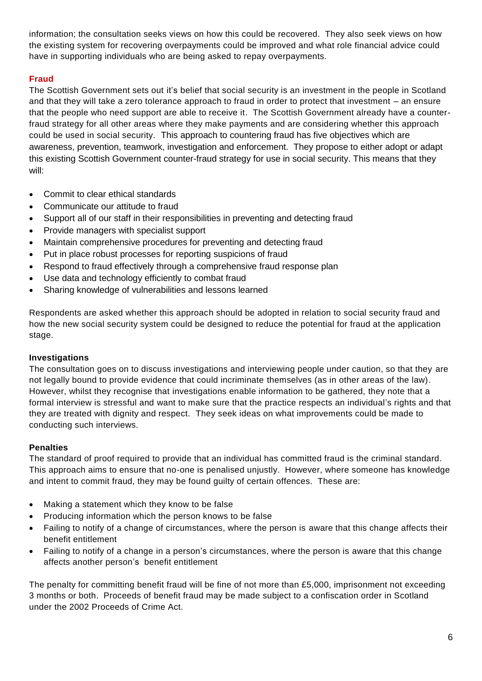information; the consultation seeks views on how this could be recovered. They also seek views on how the existing system for recovering overpayments could be improved and what role financial advice could have in supporting individuals who are being asked to repay overpayments.

# **Fraud**

The Scottish Government sets out it's belief that social security is an investment in the people in Scotland and that they will take a zero tolerance approach to fraud in order to protect that investment – an ensure that the people who need support are able to receive it. The Scottish Government already have a counterfraud strategy for all other areas where they make payments and are considering whether this approach could be used in social security. This approach to countering fraud has five objectives which are awareness, prevention, teamwork, investigation and enforcement. They propose to either adopt or adapt this existing Scottish Government counter-fraud strategy for use in social security. This means that they will:

- Commit to clear ethical standards
- Communicate our attitude to fraud
- Support all of our staff in their responsibilities in preventing and detecting fraud
- Provide managers with specialist support
- Maintain comprehensive procedures for preventing and detecting fraud
- Put in place robust processes for reporting suspicions of fraud
- Respond to fraud effectively through a comprehensive fraud response plan
- Use data and technology efficiently to combat fraud
- Sharing knowledge of vulnerabilities and lessons learned

Respondents are asked whether this approach should be adopted in relation to social security fraud and how the new social security system could be designed to reduce the potential for fraud at the application stage.

#### **Investigations**

The consultation goes on to discuss investigations and interviewing people under caution, so that they are not legally bound to provide evidence that could incriminate themselves (as in other areas of the law). However, whilst they recognise that investigations enable information to be gathered, they note that a formal interview is stressful and want to make sure that the practice respects an individual's rights and that they are treated with dignity and respect. They seek ideas on what improvements could be made to conducting such interviews.

# **Penalties**

The standard of proof required to provide that an individual has committed fraud is the criminal standard. This approach aims to ensure that no-one is penalised unjustly. However, where someone has knowledge and intent to commit fraud, they may be found guilty of certain offences. These are:

- Making a statement which they know to be false
- Producing information which the person knows to be false
- Failing to notify of a change of circumstances, where the person is aware that this change affects their benefit entitlement
- Failing to notify of a change in a person's circumstances, where the person is aware that this change affects another person's benefit entitlement

The penalty for committing benefit fraud will be fine of not more than £5,000, imprisonment not exceeding 3 months or both. Proceeds of benefit fraud may be made subject to a confiscation order in Scotland under the 2002 Proceeds of Crime Act.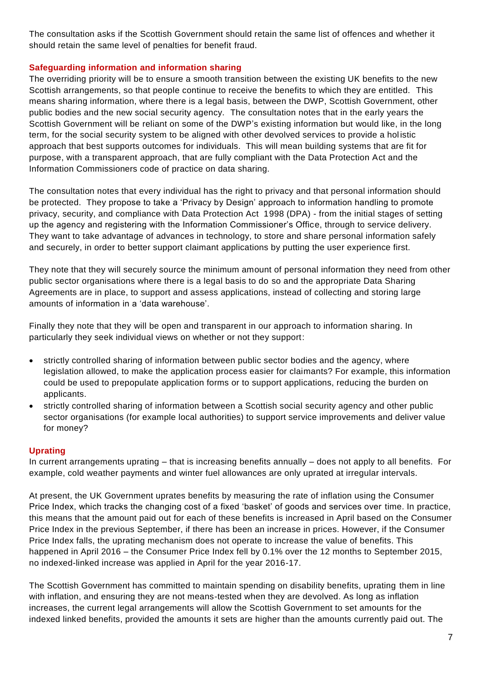The consultation asks if the Scottish Government should retain the same list of offences and whether it should retain the same level of penalties for benefit fraud.

### **Safeguarding information and information sharing**

The overriding priority will be to ensure a smooth transition between the existing UK benefits to the new Scottish arrangements, so that people continue to receive the benefits to which they are entitled. This means sharing information, where there is a legal basis, between the DWP, Scottish Government, other public bodies and the new social security agency. The consultation notes that in the early years the Scottish Government will be reliant on some of the DWP's existing information but would like, in the long term, for the social security system to be aligned with other devolved services to provide a hol istic approach that best supports outcomes for individuals. This will mean building systems that are fit for purpose, with a transparent approach, that are fully compliant with the Data Protection Act and the Information Commissioners code of practice on data sharing.

The consultation notes that every individual has the right to privacy and that personal information should be protected. They propose to take a 'Privacy by Design' approach to information handling to promote privacy, security, and compliance with Data Protection Act 1998 (DPA) - from the initial stages of setting up the agency and registering with the Information Commissioner's Office, through to service delivery. They want to take advantage of advances in technology, to store and share personal information safely and securely, in order to better support claimant applications by putting the user experience first.

They note that they will securely source the minimum amount of personal information they need from other public sector organisations where there is a legal basis to do so and the appropriate Data Sharing Agreements are in place, to support and assess applications, instead of collecting and storing large amounts of information in a 'data warehouse'.

Finally they note that they will be open and transparent in our approach to information sharing. In particularly they seek individual views on whether or not they support:

- strictly controlled sharing of information between public sector bodies and the agency, where legislation allowed, to make the application process easier for claimants? For example, this information could be used to prepopulate application forms or to support applications, reducing the burden on applicants.
- strictly controlled sharing of information between a Scottish social security agency and other public sector organisations (for example local authorities) to support service improvements and deliver value for money?

# **Uprating**

In current arrangements uprating – that is increasing benefits annually – does not apply to all benefits. For example, cold weather payments and winter fuel allowances are only uprated at irregular intervals.

At present, the UK Government uprates benefits by measuring the rate of inflation using the Consumer Price Index, which tracks the changing cost of a fixed 'basket' of goods and services over time. In practice, this means that the amount paid out for each of these benefits is increased in April based on the Consumer Price Index in the previous September, if there has been an increase in prices. However, if the Consumer Price Index falls, the uprating mechanism does not operate to increase the value of benefits. This happened in April 2016 – the Consumer Price Index fell by 0.1% over the 12 months to September 2015, no indexed-linked increase was applied in April for the year 2016-17.

The Scottish Government has committed to maintain spending on disability benefits, uprating them in line with inflation, and ensuring they are not means-tested when they are devolved. As long as inflation increases, the current legal arrangements will allow the Scottish Government to set amounts for the indexed linked benefits, provided the amounts it sets are higher than the amounts currently paid out. The